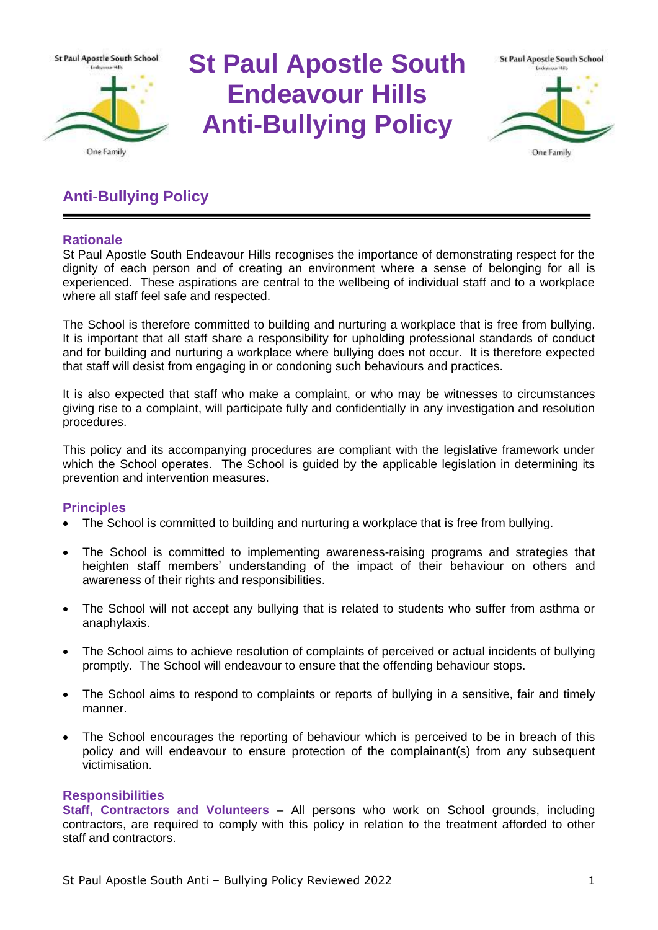

# **St Paul Apostle South Endeavour Hills Anti-Bullying Policy**



# **Anti-Bullying Policy**

# **Rationale**

St Paul Apostle South Endeavour Hills recognises the importance of demonstrating respect for the dignity of each person and of creating an environment where a sense of belonging for all is experienced. These aspirations are central to the wellbeing of individual staff and to a workplace where all staff feel safe and respected.

The School is therefore committed to building and nurturing a workplace that is free from bullying. It is important that all staff share a responsibility for upholding professional standards of conduct and for building and nurturing a workplace where bullying does not occur. It is therefore expected that staff will desist from engaging in or condoning such behaviours and practices.

It is also expected that staff who make a complaint, or who may be witnesses to circumstances giving rise to a complaint, will participate fully and confidentially in any investigation and resolution procedures.

This policy and its accompanying procedures are compliant with the legislative framework under which the School operates. The School is guided by the applicable legislation in determining its prevention and intervention measures.

# **Principles**

- The School is committed to building and nurturing a workplace that is free from bullying.
- The School is committed to implementing awareness-raising programs and strategies that heighten staff members' understanding of the impact of their behaviour on others and awareness of their rights and responsibilities.
- The School will not accept any bullying that is related to students who suffer from asthma or anaphylaxis.
- The School aims to achieve resolution of complaints of perceived or actual incidents of bullying promptly. The School will endeavour to ensure that the offending behaviour stops.
- The School aims to respond to complaints or reports of bullying in a sensitive, fair and timely manner.
- The School encourages the reporting of behaviour which is perceived to be in breach of this policy and will endeavour to ensure protection of the complainant(s) from any subsequent victimisation.

# **Responsibilities**

**Staff, Contractors and Volunteers** – All persons who work on School grounds, including contractors, are required to comply with this policy in relation to the treatment afforded to other staff and contractors.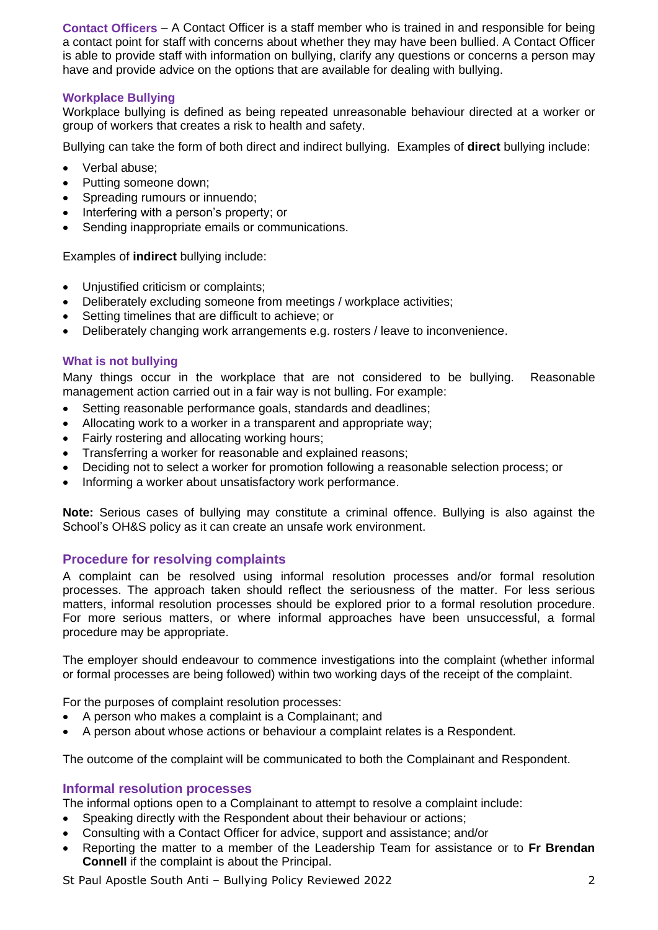**Contact Officers** – A Contact Officer is a staff member who is trained in and responsible for being a contact point for staff with concerns about whether they may have been bullied. A Contact Officer is able to provide staff with information on bullying, clarify any questions or concerns a person may have and provide advice on the options that are available for dealing with bullying.

# **Workplace Bullying**

Workplace bullying is defined as being repeated unreasonable behaviour directed at a worker or group of workers that creates a risk to health and safety.

Bullying can take the form of both direct and indirect bullying. Examples of **direct** bullying include:

- Verbal abuse;
- Putting someone down;
- Spreading rumours or innuendo;
- Interfering with a person's property; or
- Sending inappropriate emails or communications.

Examples of **indirect** bullying include:

- Unjustified criticism or complaints;
- Deliberately excluding someone from meetings / workplace activities;
- Setting timelines that are difficult to achieve; or
- Deliberately changing work arrangements e.g. rosters / leave to inconvenience.

#### **What is not bullying**

Many things occur in the workplace that are not considered to be bullying. Reasonable management action carried out in a fair way is not bulling. For example:

- Setting reasonable performance goals, standards and deadlines;
- Allocating work to a worker in a transparent and appropriate way;
- Fairly rostering and allocating working hours;
- Transferring a worker for reasonable and explained reasons;
- Deciding not to select a worker for promotion following a reasonable selection process; or
- Informing a worker about unsatisfactory work performance.

**Note:** Serious cases of bullying may constitute a criminal offence. Bullying is also against the School's OH&S policy as it can create an unsafe work environment.

# **Procedure for resolving complaints**

A complaint can be resolved using informal resolution processes and/or formal resolution processes. The approach taken should reflect the seriousness of the matter. For less serious matters, informal resolution processes should be explored prior to a formal resolution procedure. For more serious matters, or where informal approaches have been unsuccessful, a formal procedure may be appropriate.

The employer should endeavour to commence investigations into the complaint (whether informal or formal processes are being followed) within two working days of the receipt of the complaint.

For the purposes of complaint resolution processes:

- A person who makes a complaint is a Complainant; and
- A person about whose actions or behaviour a complaint relates is a Respondent.

The outcome of the complaint will be communicated to both the Complainant and Respondent.

# **Informal resolution processes**

The informal options open to a Complainant to attempt to resolve a complaint include:

- Speaking directly with the Respondent about their behaviour or actions;
- Consulting with a Contact Officer for advice, support and assistance; and/or
- Reporting the matter to a member of the Leadership Team for assistance or to **Fr Brendan Connell** if the complaint is about the Principal.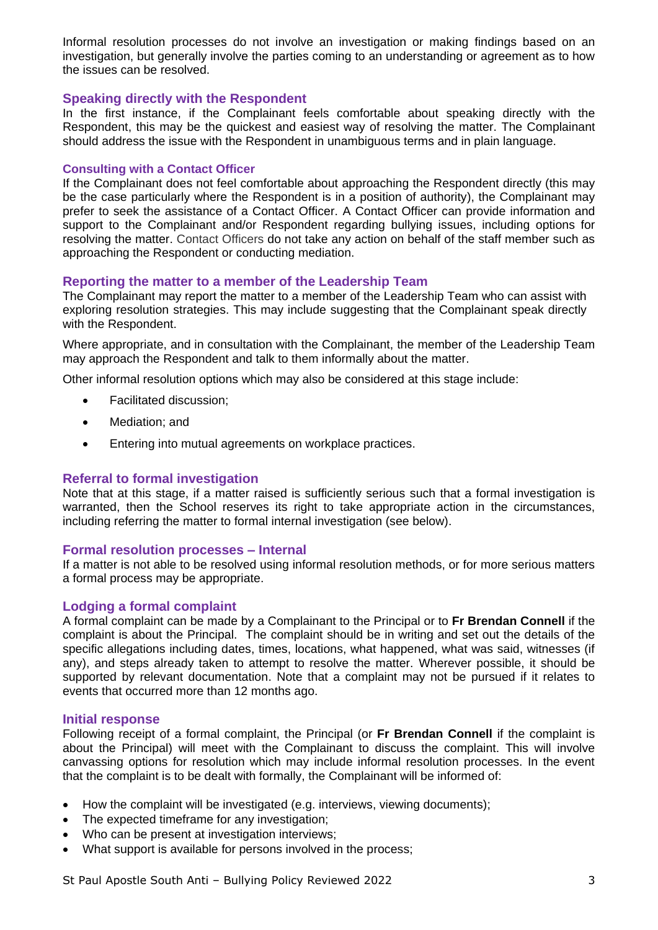Informal resolution processes do not involve an investigation or making findings based on an investigation, but generally involve the parties coming to an understanding or agreement as to how the issues can be resolved.

#### **Speaking directly with the Respondent**

In the first instance, if the Complainant feels comfortable about speaking directly with the Respondent, this may be the quickest and easiest way of resolving the matter. The Complainant should address the issue with the Respondent in unambiguous terms and in plain language.

#### **Consulting with a Contact Officer**

If the Complainant does not feel comfortable about approaching the Respondent directly (this may be the case particularly where the Respondent is in a position of authority), the Complainant may prefer to seek the assistance of a Contact Officer. A Contact Officer can provide information and support to the Complainant and/or Respondent regarding bullying issues, including options for resolving the matter. Contact Officers do not take any action on behalf of the staff member such as approaching the Respondent or conducting mediation.

# **Reporting the matter to a member of the Leadership Team**

The Complainant may report the matter to a member of the Leadership Team who can assist with exploring resolution strategies. This may include suggesting that the Complainant speak directly with the Respondent.

Where appropriate, and in consultation with the Complainant, the member of the Leadership Team may approach the Respondent and talk to them informally about the matter.

Other informal resolution options which may also be considered at this stage include:

- Facilitated discussion;
- Mediation; and
- Entering into mutual agreements on workplace practices.

# **Referral to formal investigation**

Note that at this stage, if a matter raised is sufficiently serious such that a formal investigation is warranted, then the School reserves its right to take appropriate action in the circumstances, including referring the matter to formal internal investigation (see below).

#### **Formal resolution processes – Internal**

If a matter is not able to be resolved using informal resolution methods, or for more serious matters a formal process may be appropriate.

# **Lodging a formal complaint**

A formal complaint can be made by a Complainant to the Principal or to **Fr Brendan Connell** if the complaint is about the Principal. The complaint should be in writing and set out the details of the specific allegations including dates, times, locations, what happened, what was said, witnesses (if any), and steps already taken to attempt to resolve the matter. Wherever possible, it should be supported by relevant documentation. Note that a complaint may not be pursued if it relates to events that occurred more than 12 months ago.

#### **Initial response**

Following receipt of a formal complaint, the Principal (or **Fr Brendan Connell** if the complaint is about the Principal) will meet with the Complainant to discuss the complaint. This will involve canvassing options for resolution which may include informal resolution processes. In the event that the complaint is to be dealt with formally, the Complainant will be informed of:

- How the complaint will be investigated (e.g. interviews, viewing documents);
- The expected timeframe for any investigation;
- Who can be present at investigation interviews;
- What support is available for persons involved in the process;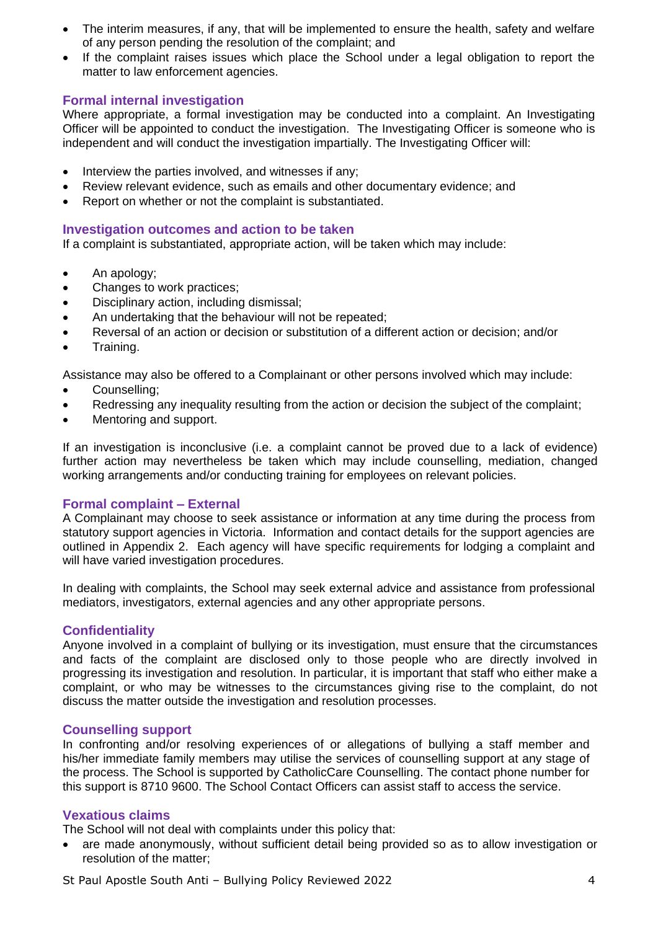- The interim measures, if any, that will be implemented to ensure the health, safety and welfare of any person pending the resolution of the complaint; and
- If the complaint raises issues which place the School under a legal obligation to report the matter to law enforcement agencies.

# **Formal internal investigation**

Where appropriate, a formal investigation may be conducted into a complaint. An Investigating Officer will be appointed to conduct the investigation. The Investigating Officer is someone who is independent and will conduct the investigation impartially. The Investigating Officer will:

- Interview the parties involved, and witnesses if any;
- Review relevant evidence, such as emails and other documentary evidence; and
- Report on whether or not the complaint is substantiated.

#### **Investigation outcomes and action to be taken**

If a complaint is substantiated, appropriate action, will be taken which may include:

- An apology;
- Changes to work practices;
- Disciplinary action, including dismissal;
- An undertaking that the behaviour will not be repeated:
- Reversal of an action or decision or substitution of a different action or decision; and/or
- Training.

Assistance may also be offered to a Complainant or other persons involved which may include:

- Counselling;
- Redressing any inequality resulting from the action or decision the subject of the complaint;
- Mentoring and support.

If an investigation is inconclusive (i.e. a complaint cannot be proved due to a lack of evidence) further action may nevertheless be taken which may include counselling, mediation, changed working arrangements and/or conducting training for employees on relevant policies.

# **Formal complaint – External**

A Complainant may choose to seek assistance or information at any time during the process from statutory support agencies in Victoria. Information and contact details for the support agencies are outlined in Appendix 2. Each agency will have specific requirements for lodging a complaint and will have varied investigation procedures.

In dealing with complaints, the School may seek external advice and assistance from professional mediators, investigators, external agencies and any other appropriate persons.

# **Confidentiality**

Anyone involved in a complaint of bullying or its investigation, must ensure that the circumstances and facts of the complaint are disclosed only to those people who are directly involved in progressing its investigation and resolution. In particular, it is important that staff who either make a complaint, or who may be witnesses to the circumstances giving rise to the complaint, do not discuss the matter outside the investigation and resolution processes.

# **Counselling support**

In confronting and/or resolving experiences of or allegations of bullying a staff member and his/her immediate family members may utilise the services of counselling support at any stage of the process. The School is supported by CatholicCare Counselling. The contact phone number for this support is 8710 9600. The School Contact Officers can assist staff to access the service.

# **Vexatious claims**

The School will not deal with complaints under this policy that:

• are made anonymously, without sufficient detail being provided so as to allow investigation or resolution of the matter;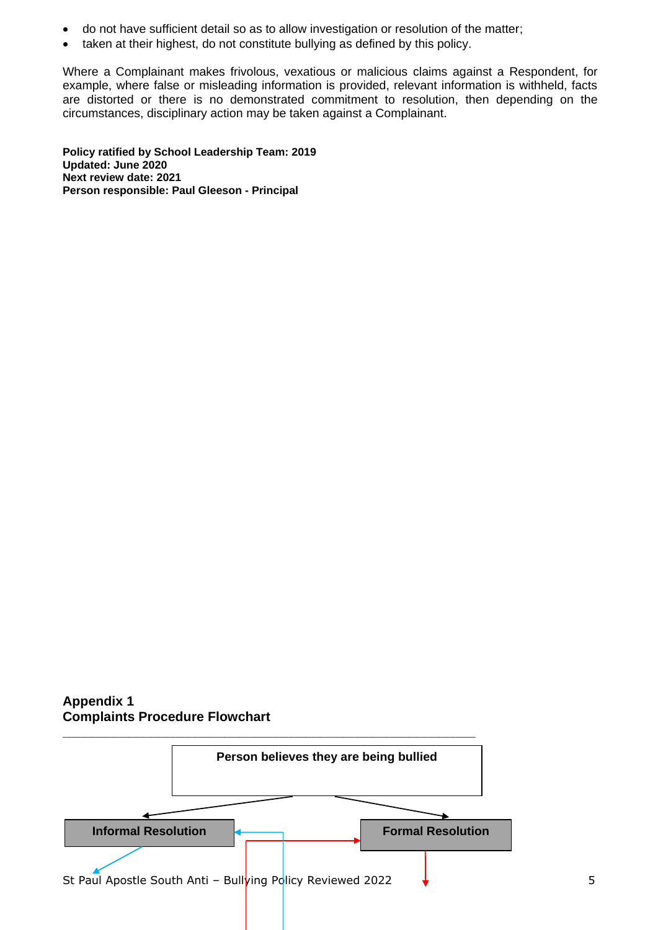- do not have sufficient detail so as to allow investigation or resolution of the matter;
- taken at their highest, do not constitute bullying as defined by this policy.

Where a Complainant makes frivolous, vexatious or malicious claims against a Respondent, for example, where false or misleading information is provided, relevant information is withheld, facts are distorted or there is no demonstrated commitment to resolution, then depending on the circumstances, disciplinary action may be taken against a Complainant.

**Policy ratified by School Leadership Team: 2019 Updated: June 2020 Next review date: 2021 Person responsible: Paul Gleeson - Principal**

# **Appendix 1 Complaints Procedure Flowchart**

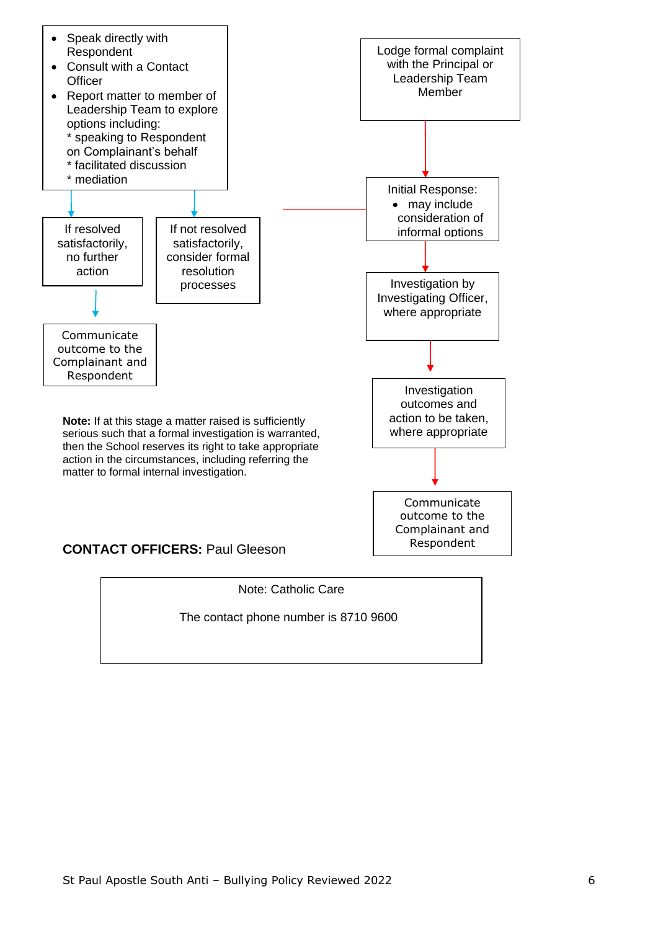



The contact phone number is 8710 9600